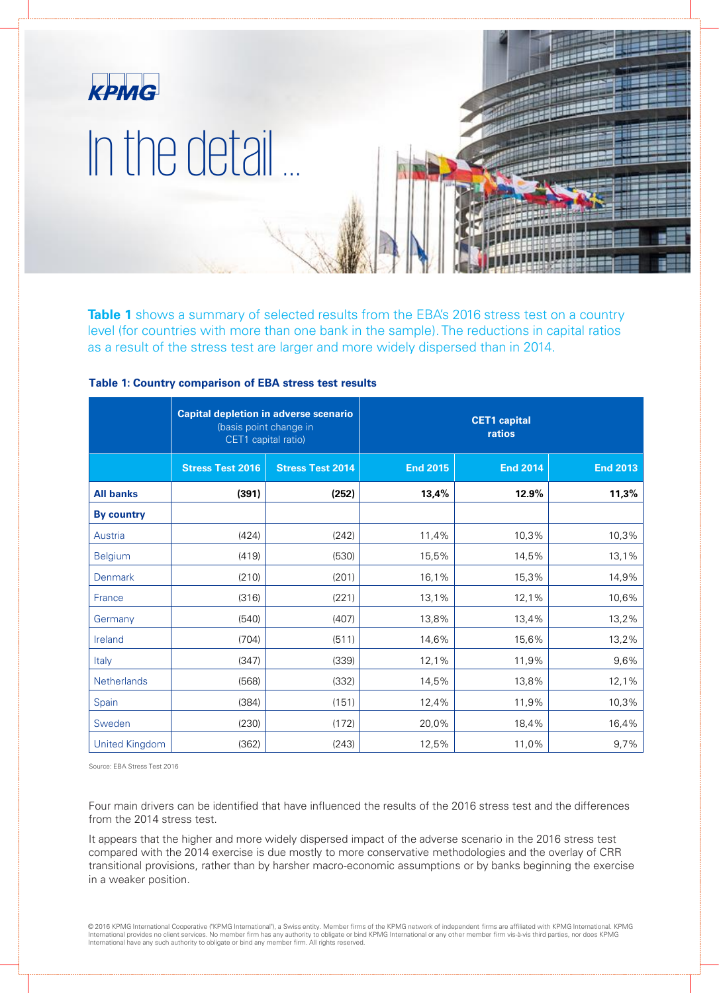

Table 1 shows a summary of selected results from the EBA's 2016 stress test on a country level (for countries with more than one bank in the sample). The reductions in capital ratios as a result of the stress test are larger and more widely dispersed than in 2014.

|                       | <b>Capital depletion in adverse scenario</b><br>(basis point change in<br>CET1 capital ratio) |                         | <b>CET1</b> capital<br>ratios |                 |                 |
|-----------------------|-----------------------------------------------------------------------------------------------|-------------------------|-------------------------------|-----------------|-----------------|
|                       | <b>Stress Test 2016</b>                                                                       | <b>Stress Test 2014</b> | <b>End 2015</b>               | <b>End 2014</b> | <b>End 2013</b> |
| <b>All banks</b>      | (391)                                                                                         | (252)                   | 13,4%                         | 12.9%           | 11,3%           |
| <b>By country</b>     |                                                                                               |                         |                               |                 |                 |
| Austria               | (424)                                                                                         | (242)                   | 11,4%                         | 10,3%           | 10,3%           |
| <b>Belgium</b>        | (419)                                                                                         | (530)                   | 15,5%                         | 14,5%           | 13,1%           |
| Denmark               | (210)                                                                                         | (201)                   | 16,1%                         | 15,3%           | 14,9%           |
| France                | (316)                                                                                         | (221)                   | 13,1%                         | 12,1%           | 10,6%           |
| Germany               | (540)                                                                                         | (407)                   | 13,8%                         | 13,4%           | 13,2%           |
| Ireland               | (704)                                                                                         | (511)                   | 14,6%                         | 15,6%           | 13,2%           |
| Italy                 | (347)                                                                                         | (339)                   | 12,1%                         | 11,9%           | 9,6%            |
| Netherlands           | (568)                                                                                         | (332)                   | 14,5%                         | 13,8%           | 12,1%           |
| Spain                 | (384)                                                                                         | (151)                   | 12,4%                         | 11,9%           | 10,3%           |
| Sweden                | (230)                                                                                         | (172)                   | 20,0%                         | 18,4%           | 16,4%           |
| <b>United Kingdom</b> | (362)                                                                                         | (243)                   | 12,5%                         | 11,0%           | 9,7%            |

# **Table 1: Country comparison of EBA stress test results**

Source: EBA Stress Test 2016

Four main drivers can be identified that have influenced the results of the 2016 stress test and the differences from the 2014 stress test.

It appears that the higher and more widely dispersed impact of the adverse scenario in the 2016 stress test compared with the 2014 exercise is due mostly to more conservative methodologies and the overlay of CRR transitional provisions, rather than by harsher macro-economic assumptions or by banks beginning the exercise in a weaker position.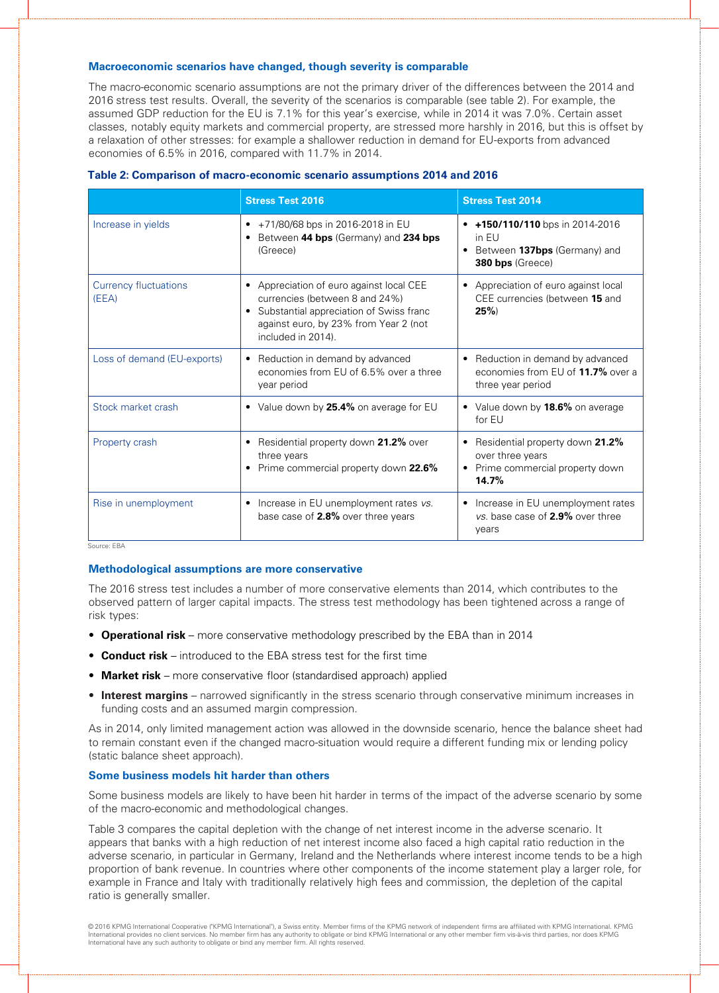# **Macroeconomic scenarios have changed, though severity is comparable**

The macro-economic scenario assumptions are not the primary driver of the differences between the 2014 and 2016 stress test results. Overall, the severity of the scenarios is comparable (see table 2). For example, the assumed GDP reduction for the EU is 7.1% for this year's exercise, while in 2014 it was 7.0%. Certain asset classes, notably equity markets and commercial property, are stressed more harshly in 2016, but this is offset by a relaxation of other stresses: for example a shallower reduction in demand for EU-exports from advanced economies of 6.5% in 2016, compared with 11.7% in 2014.

|                                       | <b>Stress Test 2016</b>                                                                                                                                                                                      | <b>Stress Test 2014</b>                                                                                 |
|---------------------------------------|--------------------------------------------------------------------------------------------------------------------------------------------------------------------------------------------------------------|---------------------------------------------------------------------------------------------------------|
| Increase in yields                    | +71/80/68 bps in 2016-2018 in EU<br>$\bullet$<br>Between 44 bps (Germany) and 234 bps<br>(Greece)                                                                                                            | +150/110/110 bps in 2014-2016<br>in FU<br>Between 137bps (Germany) and<br>$\bullet$<br>380 bps (Greece) |
| <b>Currency fluctuations</b><br>(EEA) | Appreciation of euro against local CEE<br>$\bullet$<br>currencies (between 8 and 24%)<br>Substantial appreciation of Swiss franc<br>$\bullet$<br>against euro, by 23% from Year 2 (not<br>included in 2014). | Appreciation of euro against local<br>$\bullet$<br>CEE currencies (between 15 and<br>25%                |
| Loss of demand (EU-exports)           | Reduction in demand by advanced<br>٠<br>economies from EU of 6.5% over a three<br>year period                                                                                                                | Reduction in demand by advanced<br>$\bullet$<br>economies from EU of 11.7% over a<br>three year period  |
| Stock market crash                    | • Value down by 25.4% on average for EU                                                                                                                                                                      | • Value down by 18.6% on average<br>for EU                                                              |
| Property crash                        | Residential property down 21.2% over<br>٠<br>three years<br>Prime commercial property down 22.6%<br>٠                                                                                                        | Residential property down 21.2%<br>over three years<br>Prime commercial property down<br>14.7%          |
| Rise in unemployment                  | Increase in EU unemployment rates vs.<br>$\bullet$<br>base case of 2.8% over three years                                                                                                                     | Increase in EU unemployment rates<br>$\bullet$<br>vs. base case of 2.9% over three<br>years             |

| Table 2: Comparison of macro-economic scenario assumptions 2014 and 2016 |  |  |  |  |  |
|--------------------------------------------------------------------------|--|--|--|--|--|
|--------------------------------------------------------------------------|--|--|--|--|--|

Source: EBA

# **Methodological assumptions are more conservative**

The 2016 stress test includes a number of more conservative elements than 2014, which contributes to the observed pattern of larger capital impacts. The stress test methodology has been tightened across a range of risk types:

- **Operational risk**  more conservative methodology prescribed by the EBA than in 2014
- **Conduct risk**  introduced to the EBA stress test for the first time
- **Market risk**  more conservative floor (standardised approach) applied
- **Interest margins** narrowed significantly in the stress scenario through conservative minimum increases in funding costs and an assumed margin compression.

As in 2014, only limited management action was allowed in the downside scenario, hence the balance sheet had to remain constant even if the changed macro-situation would require a different funding mix or lending policy (static balance sheet approach).

### **Some business models hit harder than others**

Some business models are likely to have been hit harder in terms of the impact of the adverse scenario by some of the macro-economic and methodological changes.

Table 3 compares the capital depletion with the change of net interest income in the adverse scenario. It appears that banks with a high reduction of net interest income also faced a high capital ratio reduction in the adverse scenario, in particular in Germany, Ireland and the Netherlands where interest income tends to be a high proportion of bank revenue. In countries where other components of the income statement play a larger role, for example in France and Italy with traditionally relatively high fees and commission, the depletion of the capital ratio is generally smaller.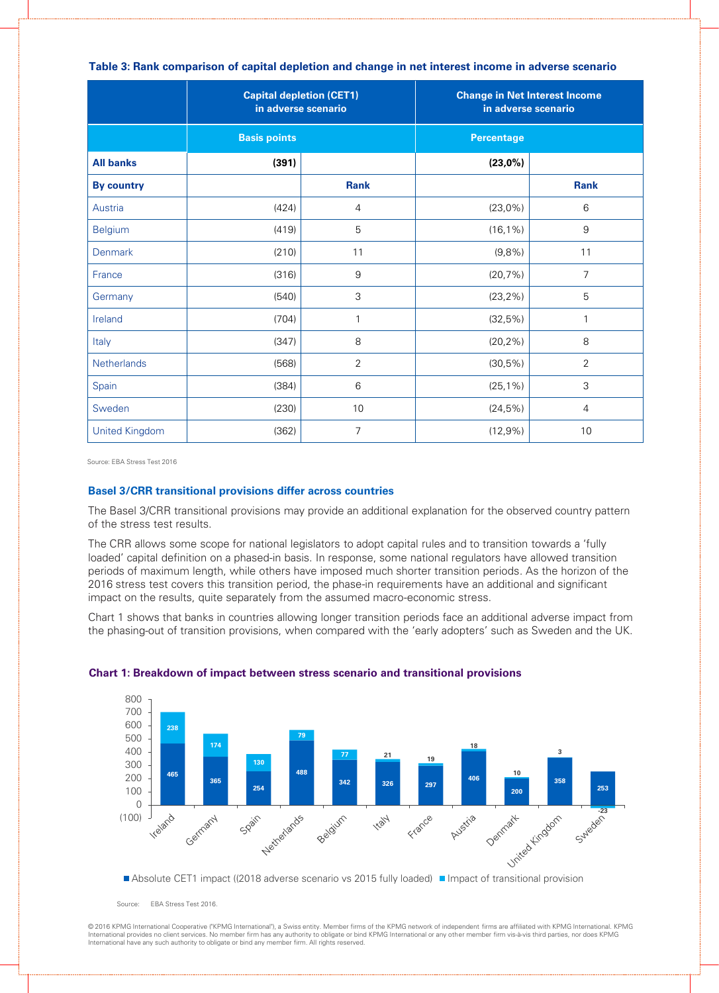### **Table 3: Rank comparison of capital depletion and change in net interest income in adverse scenario**

|                       | <b>Capital depletion (CET1)</b><br>in adverse scenario |                | <b>Change in Net Interest Income</b><br>in adverse scenario |                |
|-----------------------|--------------------------------------------------------|----------------|-------------------------------------------------------------|----------------|
|                       | <b>Basis points</b>                                    |                | <b>Percentage</b>                                           |                |
| <b>All banks</b>      | (391)                                                  |                | $(23,0\%)$                                                  |                |
| <b>By country</b>     |                                                        | <b>Rank</b>    |                                                             | <b>Rank</b>    |
| Austria               | (424)                                                  | $\overline{4}$ | $(23,0\%)$                                                  | 6              |
| <b>Belgium</b>        | (419)                                                  | 5              | $(16, 1\%)$                                                 | 9              |
| <b>Denmark</b>        | (210)                                                  | 11             | (9,8%                                                       | 11             |
| France                | (316)                                                  | $\hbox{9}$     | (20,7%)                                                     | $\overline{7}$ |
| Germany               | (540)                                                  | 3              | $(23, 2\%)$                                                 | 5              |
| Ireland               | (704)                                                  | $\mathbf{1}$   | (32,5%)                                                     | 1              |
| Italy                 | (347)                                                  | $\,8\,$        | $(20, 2\%)$                                                 | $\,8\,$        |
| Netherlands           | (568)                                                  | $\overline{2}$ | $(30,5\%)$                                                  | $\overline{2}$ |
| Spain                 | (384)                                                  | 6              | $(25, 1\%)$                                                 | 3              |
| Sweden                | (230)                                                  | $10$           | $(24,5\%)$                                                  | 4              |
| <b>United Kingdom</b> | (362)                                                  | $\overline{7}$ | $(12,9\%)$                                                  | 10             |

Source: EBA Stress Test 2016

## **Basel 3/CRR transitional provisions differ across countries**

The Basel 3/CRR transitional provisions may provide an additional explanation for the observed country pattern of the stress test results.

The CRR allows some scope for national legislators to adopt capital rules and to transition towards a 'fully loaded' capital definition on a phased-in basis. In response, some national regulators have allowed transition periods of maximum length, while others have imposed much shorter transition periods. As the horizon of the 2016 stress test covers this transition period, the phase-in requirements have an additional and significant impact on the results, quite separately from the assumed macro-economic stress.

Chart 1 shows that banks in countries allowing longer transition periods face an additional adverse impact from the phasing-out of transition provisions, when compared with the 'early adopters' such as Sweden and the UK.



#### **Chart 1: Breakdown of impact between stress scenario and transitional provisions**

Source: EBA Stress Test 2016.

© 2016 KPMG International Cooperative ("KPMG International"), a Swiss entity. Member firms of the KPMG network of independent firms are affiliated with KPMG International. KPMG International provides no client services. No member firm has any authority to obligate or bind KPMG International or any other member firm vis-à-vis third parties, nor does KPMG International have any such authority to obligate or bind any member firm. All rights reserved.